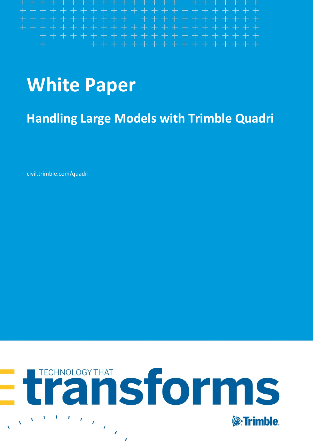# **White Paper**

<span id="page-0-0"></span>**Handling Large Models with Trimble Quadri**

civil.trimble.com/quadri

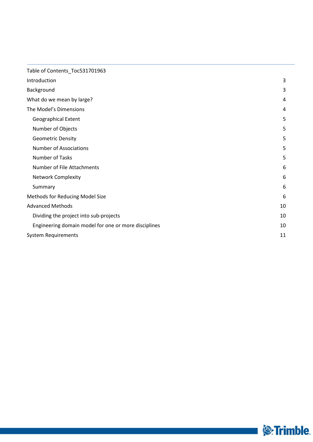| Table of Contents_Toc531701963                       |    |
|------------------------------------------------------|----|
| Introduction                                         | 3  |
| Background                                           | 3  |
| What do we mean by large?                            | 4  |
| The Model's Dimensions                               | 4  |
| <b>Geographical Extent</b>                           | 5  |
| Number of Objects                                    | 5  |
| <b>Geometric Density</b>                             | 5  |
| <b>Number of Associations</b>                        | 5  |
| Number of Tasks                                      | 5  |
| Number of File Attachments                           | 6  |
| <b>Network Complexity</b>                            | 6  |
| Summary                                              | 6  |
| Methods for Reducing Model Size                      | 6  |
| <b>Advanced Methods</b>                              | 10 |
| Dividing the project into sub-projects               | 10 |
| Engineering domain model for one or more disciplines | 10 |
| <b>System Requirements</b>                           | 11 |

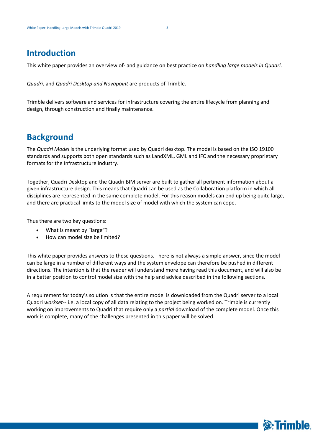## <span id="page-2-0"></span>**Introduction**

This white paper provides an overview of- and guidance on best practice on *handling large models in Quadri*.

*Quadri,* and *Quadri Desktop and Novapoint* are products of Trimble.

Trimble delivers software and services for infrastructure covering the entire lifecycle from planning and design, through construction and finally maintenance.

# <span id="page-2-1"></span>**Background**

The *Quadri Model* is the underlying format used by Quadri desktop. The model is based on the ISO 19100 standards and supports both open standards such as LandXML, GML and IFC and the necessary proprietary formats for the Infrastructure industry.

Together, Quadri Desktop and the Quadri BIM server are built to gather all pertinent information about a given infrastructure design. This means that Quadri can be used as the Collaboration platform in which all disciplines are represented in the same complete model. For this reason models can end up being quite large, and there are practical limits to the model size of model with which the system can cope.

Thus there are two key questions:

- What is meant by "large"?
- How can model size be limited?

This white paper provides answers to these questions. There is not always a simple answer, since the model can be large in a number of different ways and the system envelope can therefore be pushed in different directions. The intention is that the reader will understand more having read this document, and will also be in a better position to control model size with the help and advice described in the following sections.

A requirement for today's solution is that the entire model is downloaded from the Quadri server to a local Quadri *workset--* i.e. a local copy of all data relating to the project being worked on. Trimble is currently working on improvements to Quadri that require only a *partial* download of the complete model. Once this work is complete, many of the challenges presented in this paper will be solved.

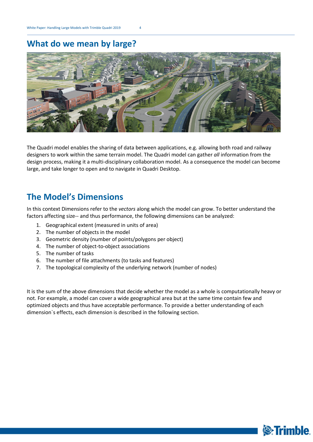# <span id="page-3-0"></span>**What do we mean by large?**



The Quadri model enables the sharing of data between applications, e.g. allowing both road and railway designers to work within the same terrain model. The Quadri model can gather *all* information from the design process, making it a multi-disciplinary collaboration model. As a consequence the model can become large, and take longer to open and to navigate in Quadri Desktop.

# <span id="page-3-1"></span>**The Model's Dimensions**

In this context Dimensions refer to the *vectors* along which the model can grow. To better understand the factors affecting size-- and thus performance, the following dimensions can be analyzed:

- 1. Geographical extent (measured in units of area)
- 2. The number of objects in the model
- 3. Geometric density (number of points/polygons per object)
- 4. The number of object-to-object associations
- 5. The number of tasks

**4**

- 6. The number of file attachments (to tasks and features)
- 7. The topological complexity of the underlying network (number of nodes)

It is the sum of the above dimensions that decide whether the model as a whole is computationally heavy or not. For example, a model can cover a wide geographical area but at the same time contain few and optimized objects and thus have acceptable performance. To provide a better understanding of each dimension`s effects, each dimension is described in the following section.

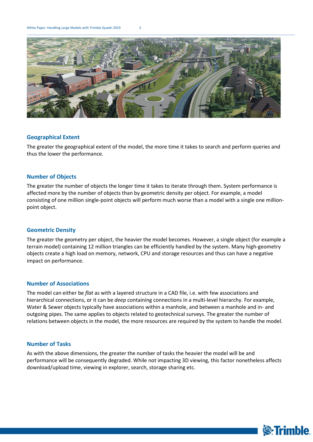White Paper: Handling Large Models with Trimble Quadri 2019 5



#### <span id="page-4-0"></span>**Geographical Extent**

The greater the geographical extent of the model, the more time it takes to search and perform queries and thus the lower the performance.

#### <span id="page-4-1"></span>**Number of Objects**

The greater the number of objects the longer time it takes to iterate through them. System performance is affected more by the number of objects than by geometric density per object. For example, a model consisting of one million single-point objects will perform much worse than a model with a single one millionpoint object.

#### <span id="page-4-2"></span>**Geometric Density**

The greater the geometry per object, the heavier the model becomes. However, a single object (for example a terrain model) containing 12 million triangles can be efficiently handled by the system. Many high-geometry objects create a high load on memory, network, CPU and storage resources and thus can have a negative impact on performance.

#### <span id="page-4-3"></span>**Number of Associations**

The model can either be *flat* as with a layered structure in a CAD file, i.e. with few associations and hierarchical connections, or it can be *deep* containing connections in a multi-level hierarchy. For example, Water & Sewer objects typically have associations within a manhole, and between a manhole and in- and outgoing pipes. The same applies to objects related to geotechnical surveys. The greater the number of relations between objects in the model, the more resources are required by the system to handle the model.

#### <span id="page-4-4"></span>**Number of Tasks**

**5**

As with the above dimensions, the greater the number of tasks the heavier the model will be and performance will be consequently degraded. While not impacting 3D viewing, this factor nonetheless affects download/upload time, viewing in explorer, search, storage sharing etc.

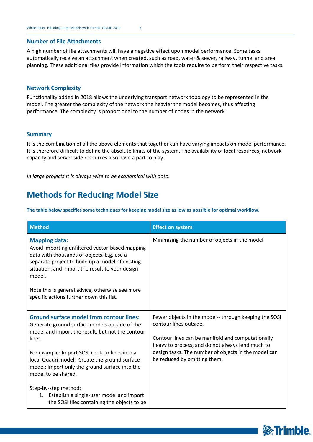#### <span id="page-5-0"></span>**Number of File Attachments**

A high number of file attachments will have a negative effect upon model performance. Some tasks automatically receive an attachment when created, such as road, water & sewer, railway, tunnel and area planning. These additional files provide information which the tools require to perform their respective tasks.

#### <span id="page-5-1"></span>**Network Complexity**

Functionality added in 2018 allows the underlying transport network topology to be represented in the model. The greater the complexity of the network the heavier the model becomes, thus affecting performance. The complexity is proportional to the number of nodes in the network.

#### <span id="page-5-2"></span>**Summary**

**6**

It is the combination of all the above elements that together can have varying impacts on model performance. It is therefore difficult to define the absolute limits of the system. The availability of local resources, network capacity and server side resources also have a part to play.

<span id="page-5-3"></span>*In large projects it is always wise to be economical with data.*

# **Methods for Reducing Model Size**

**The table below specifies some techniques for keeping model size as low as possible for optimal workflow.**

| <b>Method</b>                                                                                                                                                                                                                                                                                                                         | <b>Effect on system</b>                                                                                                                                                                                                                                                          |
|---------------------------------------------------------------------------------------------------------------------------------------------------------------------------------------------------------------------------------------------------------------------------------------------------------------------------------------|----------------------------------------------------------------------------------------------------------------------------------------------------------------------------------------------------------------------------------------------------------------------------------|
| <b>Mapping data:</b><br>Avoid importing unfiltered vector-based mapping<br>data with thousands of objects. E.g. use a<br>separate project to build up a model of existing<br>situation, and import the result to your design<br>model.<br>Note this is general advice, otherwise see more<br>specific actions further down this list. | Minimizing the number of objects in the model.                                                                                                                                                                                                                                   |
|                                                                                                                                                                                                                                                                                                                                       |                                                                                                                                                                                                                                                                                  |
| <b>Ground surface model from contour lines:</b><br>Generate ground surface models outside of the<br>model and import the result, but not the contour<br>lines.                                                                                                                                                                        | Fewer objects in the model-- through keeping the SOSI<br>contour lines outside.<br>Contour lines can be manifold and computationally<br>heavy to process, and do not always lend much to<br>design tasks. The number of objects in the model can<br>be reduced by omitting them. |
| For example: Import SOSI contour lines into a<br>local Quadri model; Create the ground surface<br>model; Import only the ground surface into the<br>model to be shared.                                                                                                                                                               |                                                                                                                                                                                                                                                                                  |
| Step-by-step method:<br>1. Establish a single-user model and import<br>the SOSI files containing the objects to be                                                                                                                                                                                                                    |                                                                                                                                                                                                                                                                                  |

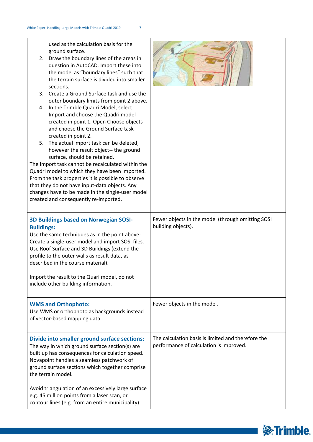| used as the calculation basis for the<br>ground surface.<br>2. Draw the boundary lines of the areas in<br>question in AutoCAD. Import these into<br>the model as "boundary lines" such that<br>the terrain surface is divided into smaller<br>sections.<br>3. Create a Ground Surface task and use the<br>outer boundary limits from point 2 above.<br>4. In the Trimble Quadri Model, select<br>Import and choose the Quadri model<br>created in point 1. Open Choose objects<br>and choose the Ground Surface task<br>created in point 2.<br>5. The actual import task can be deleted,<br>however the result object-- the ground<br>surface, should be retained.<br>The Import task cannot be recalculated within the<br>Quadri model to which they have been imported.<br>From the task properties it is possible to observe<br>that they do not have input-data objects. Any<br>changes have to be made in the single-user model<br>created and consequently re-imported. |                                                                                               |
|-------------------------------------------------------------------------------------------------------------------------------------------------------------------------------------------------------------------------------------------------------------------------------------------------------------------------------------------------------------------------------------------------------------------------------------------------------------------------------------------------------------------------------------------------------------------------------------------------------------------------------------------------------------------------------------------------------------------------------------------------------------------------------------------------------------------------------------------------------------------------------------------------------------------------------------------------------------------------------|-----------------------------------------------------------------------------------------------|
| <b>3D Buildings based on Norwegian SOSI-</b><br><b>Buildings:</b><br>Use the same techniques as in the point above:<br>Create a single-user model and import SOSI files.<br>Use Roof Surface and 3D Buildings (extend the<br>profile to the outer walls as result data, as<br>described in the course material).<br>Import the result to the Quari model, do not<br>include other building information.                                                                                                                                                                                                                                                                                                                                                                                                                                                                                                                                                                       | Fewer objects in the model (through omitting SOSI<br>building objects).                       |
| <b>WMS and Orthophoto:</b><br>Use WMS or orthophoto as backgrounds instead<br>of vector-based mapping data.                                                                                                                                                                                                                                                                                                                                                                                                                                                                                                                                                                                                                                                                                                                                                                                                                                                                   | Fewer objects in the model.                                                                   |
| Divide into smaller ground surface sections:<br>The way in which ground surface section(s) are<br>built up has consequences for calculation speed.<br>Novapoint handles a seamless patchwork of<br>ground surface sections which together comprise<br>the terrain model.                                                                                                                                                                                                                                                                                                                                                                                                                                                                                                                                                                                                                                                                                                      | The calculation basis is limited and therefore the<br>performance of calculation is improved. |
| Avoid triangulation of an excessively large surface<br>e.g. 45 million points from a laser scan, or<br>contour lines (e.g. from an entire municipality).                                                                                                                                                                                                                                                                                                                                                                                                                                                                                                                                                                                                                                                                                                                                                                                                                      |                                                                                               |

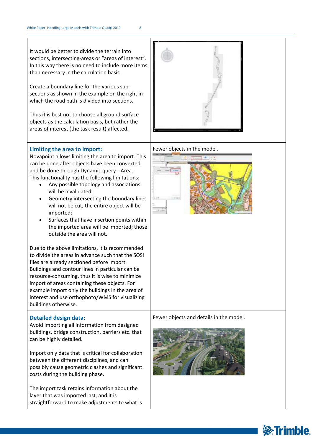It would be better to divide the terrain into sections, intersecting-areas or "areas of interest". In this way there is no need to include more items than necessary in the calculation basis.

Create a boundary line for the various subsections as shown in the example on the right in which the road path is divided into sections.

Thus it is best not to choose all ground surface objects as the calculation basis, but rather the areas of interest (the task result) affected.

#### **Limiting the area to import:**

Novapoint allows limiting the area to import. This can be done after objects have been converted and be done through Dynamic query-- Area. This functionality has the following limitations:

- Any possible topology and associations will be invalidated;
- Geometry intersecting the boundary lines will not be cut, the entire object will be imported;
- Surfaces that have insertion points within the imported area will be imported; those outside the area will not.

Due to the above limitations, it is recommended to divide the areas in advance such that the SOSI files are already sectioned before import. Buildings and contour lines in particular can be resource-consuming, thus it is wise to minimize import of areas containing these objects. For example import only the buildings in the area of interest and use orthophoto/WMS for visualizing buildings otherwise.

#### **Detailed design data:**

**8**

Avoid importing all information from designed buildings, bridge construction, barriers etc. that can be highly detailed.

Import only data that is critical for collaboration between the different disciplines, and can possibly cause geometric clashes and significant costs during the building phase.

The import task retains information about the layer that was imported last, and it is straightforward to make adjustments to what is





Fewer objects and details in the model.



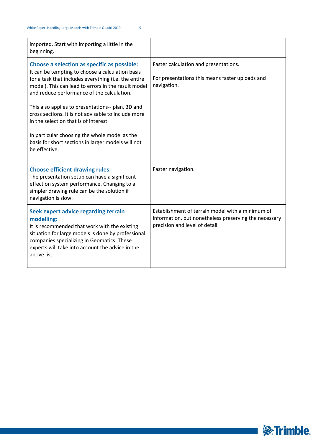| imported. Start with importing a little in the<br>beginning.                                                                                                                                                                                                                                                                                                                                                                                                                                                                              |                                                                                                                                             |
|-------------------------------------------------------------------------------------------------------------------------------------------------------------------------------------------------------------------------------------------------------------------------------------------------------------------------------------------------------------------------------------------------------------------------------------------------------------------------------------------------------------------------------------------|---------------------------------------------------------------------------------------------------------------------------------------------|
| Choose a selection as specific as possible:<br>It can be tempting to choose a calculation basis<br>for a task that includes everything (i.e. the entire<br>model). This can lead to errors in the result model<br>and reduce performance of the calculation.<br>This also applies to presentations-- plan, 3D and<br>cross sections. It is not advisable to include more<br>in the selection that is of interest.<br>In particular choosing the whole model as the<br>basis for short sections in larger models will not<br>be effective. | Faster calculation and presentations.<br>For presentations this means faster uploads and<br>navigation.                                     |
| <b>Choose efficient drawing rules:</b><br>The presentation setup can have a significant<br>effect on system performance. Changing to a<br>simpler drawing rule can be the solution if<br>navigation is slow.                                                                                                                                                                                                                                                                                                                              | Faster navigation.                                                                                                                          |
| Seek expert advice regarding terrain<br>modelling:<br>It is recommended that work with the existing<br>situation for large models is done by professional<br>companies specializing in Geomatics. These<br>experts will take into account the advice in the<br>above list.                                                                                                                                                                                                                                                                | Establishment of terrain model with a minimum of<br>information, but nonetheless preserving the necessary<br>precision and level of detail. |

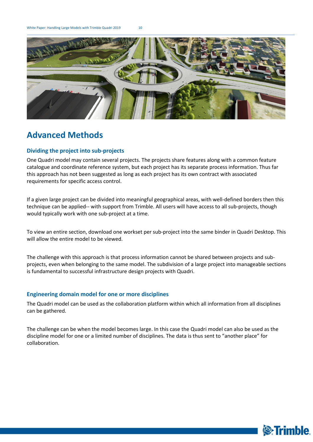White Paper: Handling Large Models with Trimble Quadri 2019 10



# <span id="page-9-0"></span>**Advanced Methods**

**10**

#### <span id="page-9-1"></span>**Dividing the project into sub-projects**

One Quadri model may contain several projects. The projects share features along with a common feature catalogue and coordinate reference system, but each project has its separate process information. Thus far this approach has not been suggested as long as each project has its own contract with associated requirements for specific access control.

If a given large project can be divided into meaningful geographical areas, with well-defined borders then this technique can be applied-- with support from Trimble. All users will have access to all sub-projects, though would typically work with one sub-project at a time.

To view an entire section, download one workset per sub-project into the same binder in Quadri Desktop. This will allow the entire model to be viewed.

The challenge with this approach is that process information cannot be shared between projects and subprojects, even when belonging to the same model. The subdivision of a large project into manageable sections is fundamental to successful infrastructure design projects with Quadri.

#### <span id="page-9-2"></span>**Engineering domain model for one or more disciplines**

The Quadri model can be used as the collaboration platform within which all information from all disciplines can be gathered.

The challenge can be when the model becomes large. In this case the Quadri model can also be used as the discipline model for one or a limited number of disciplines. The data is thus sent to "another place" for collaboration.